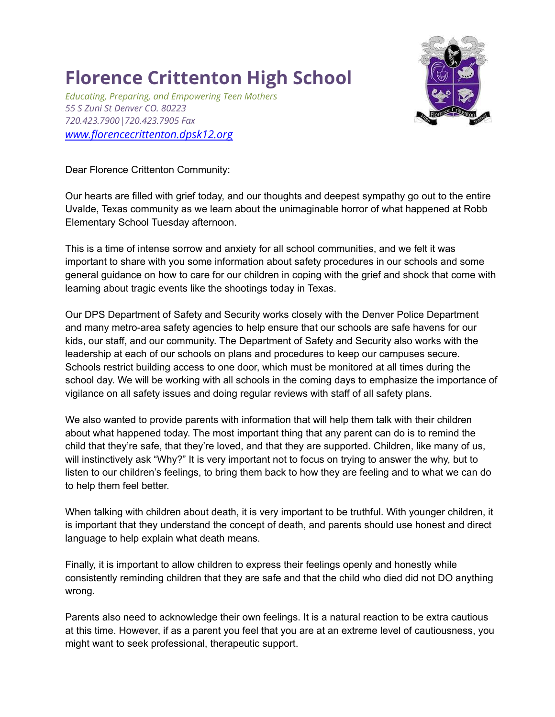## **Florence Crittenton High School**

*Educating, Preparing, and Empowering Teen Mothers 55 S Zuni St Denver CO. 80223 720.423.7900|720.423.7905 Fax [www.florencecrittenton.dpsk12.org](http://www.florencecrittenton.dpsk12.org)*



Dear Florence Crittenton Community:

Our hearts are filled with grief today, and our thoughts and deepest sympathy go out to the entire Uvalde, Texas community as we learn about the unimaginable horror of what happened at Robb Elementary School Tuesday afternoon.

This is a time of intense sorrow and anxiety for all school communities, and we felt it was important to share with you some information about safety procedures in our schools and some general guidance on how to care for our children in coping with the grief and shock that come with learning about tragic events like the shootings today in Texas.

Our DPS Department of Safety and Security works closely with the Denver Police Department and many metro-area safety agencies to help ensure that our schools are safe havens for our kids, our staff, and our community. The Department of Safety and Security also works with the leadership at each of our schools on plans and procedures to keep our campuses secure. Schools restrict building access to one door, which must be monitored at all times during the school day. We will be working with all schools in the coming days to emphasize the importance of vigilance on all safety issues and doing regular reviews with staff of all safety plans.

We also wanted to provide parents with information that will help them talk with their children about what happened today. The most important thing that any parent can do is to remind the child that they're safe, that they're loved, and that they are supported. Children, like many of us, will instinctively ask "Why?" It is very important not to focus on trying to answer the why, but to listen to our children's feelings, to bring them back to how they are feeling and to what we can do to help them feel better.

When talking with children about death, it is very important to be truthful. With younger children, it is important that they understand the concept of death, and parents should use honest and direct language to help explain what death means.

Finally, it is important to allow children to express their feelings openly and honestly while consistently reminding children that they are safe and that the child who died did not DO anything wrong.

Parents also need to acknowledge their own feelings. It is a natural reaction to be extra cautious at this time. However, if as a parent you feel that you are at an extreme level of cautiousness, you might want to seek professional, therapeutic support.